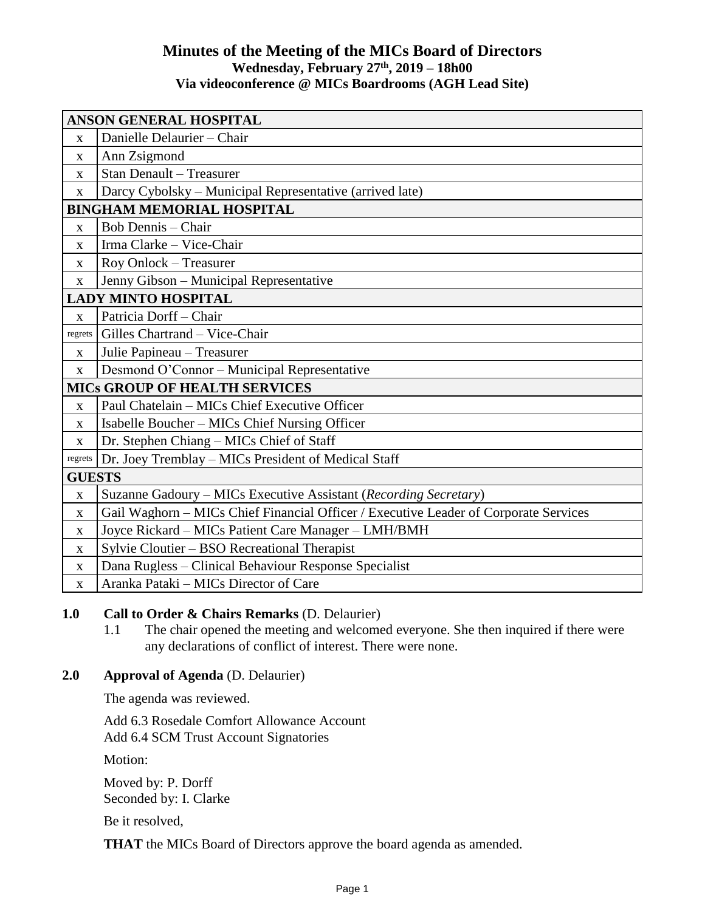### **Minutes of the Meeting of the MICs Board of Directors Wednesday, February 27 th , 2019 – 18h00 Via videoconference @ MICs Boardrooms (AGH Lead Site)**

| <b>ANSON GENERAL HOSPITAL</b>        |                                                                                      |
|--------------------------------------|--------------------------------------------------------------------------------------|
| $\mathbf{x}$                         | Danielle Delaurier - Chair                                                           |
| $\mathbf{X}$                         | Ann Zsigmond                                                                         |
| X                                    | Stan Denault - Treasurer                                                             |
| $\mathbf X$                          | Darcy Cybolsky – Municipal Representative (arrived late)                             |
| <b>BINGHAM MEMORIAL HOSPITAL</b>     |                                                                                      |
| $\mathbf{X}$                         | <b>Bob Dennis - Chair</b>                                                            |
| X                                    | Irma Clarke - Vice-Chair                                                             |
| X                                    | Roy Onlock - Treasurer                                                               |
| $\mathbf X$                          | Jenny Gibson - Municipal Representative                                              |
|                                      | <b>LADY MINTO HOSPITAL</b>                                                           |
| $\mathbf X$                          | Patricia Dorff - Chair                                                               |
| regrets                              | Gilles Chartrand - Vice-Chair                                                        |
| X                                    | Julie Papineau - Treasurer                                                           |
| $\mathbf X$                          | Desmond O'Connor - Municipal Representative                                          |
| <b>MICS GROUP OF HEALTH SERVICES</b> |                                                                                      |
| $\mathbf X$                          | Paul Chatelain - MICs Chief Executive Officer                                        |
| $\mathbf{X}$                         | Isabelle Boucher – MICs Chief Nursing Officer                                        |
| $\mathbf X$                          | Dr. Stephen Chiang – MICs Chief of Staff                                             |
| regrets                              | Dr. Joey Tremblay – MICs President of Medical Staff                                  |
| <b>GUESTS</b>                        |                                                                                      |
| $\mathbf X$                          | Suzanne Gadoury - MICs Executive Assistant (Recording Secretary)                     |
| X                                    | Gail Waghorn - MICs Chief Financial Officer / Executive Leader of Corporate Services |
| $\mathbf{X}$                         | Joyce Rickard - MICs Patient Care Manager - LMH/BMH                                  |
| X                                    | Sylvie Cloutier - BSO Recreational Therapist                                         |
| $\mathbf X$                          | Dana Rugless – Clinical Behaviour Response Specialist                                |
| $\mathbf X$                          | Aranka Pataki – MICs Director of Care                                                |

#### **1.0 Call to Order & Chairs Remarks** (D. Delaurier)

1.1 The chair opened the meeting and welcomed everyone. She then inquired if there were any declarations of conflict of interest. There were none.

#### **2.0 Approval of Agenda** (D. Delaurier)

The agenda was reviewed.

Add 6.3 Rosedale Comfort Allowance Account Add 6.4 SCM Trust Account Signatories

Motion:

Moved by: P. Dorff Seconded by: I. Clarke

Be it resolved,

**THAT** the MICs Board of Directors approve the board agenda as amended.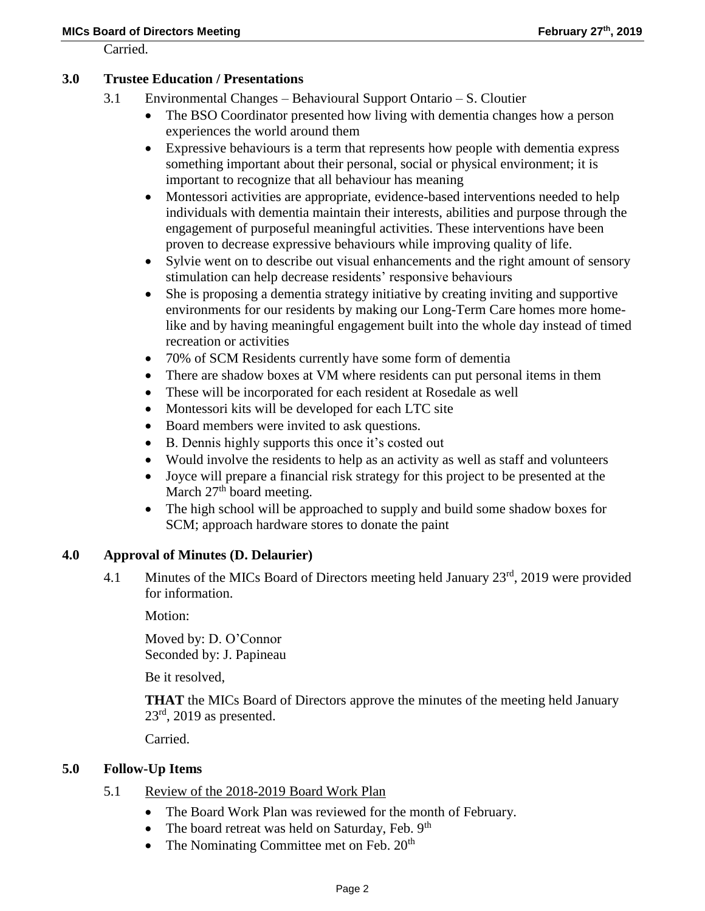Carried.

### **3.0 Trustee Education / Presentations**

- 3.1 Environmental Changes Behavioural Support Ontario S. Cloutier
	- The BSO Coordinator presented how living with dementia changes how a person experiences the world around them
	- Expressive behaviours is a term that represents how people with dementia express something important about their personal, social or physical environment; it is important to recognize that all behaviour has meaning
	- Montessori activities are appropriate, evidence-based interventions needed to help individuals with dementia maintain their interests, abilities and purpose through the engagement of purposeful meaningful activities. These interventions have been proven to decrease expressive behaviours while improving quality of life.
	- Sylvie went on to describe out visual enhancements and the right amount of sensory stimulation can help decrease residents' responsive behaviours
	- She is proposing a dementia strategy initiative by creating inviting and supportive environments for our residents by making our Long-Term Care homes more homelike and by having meaningful engagement built into the whole day instead of timed recreation or activities
	- 70% of SCM Residents currently have some form of dementia
	- There are shadow boxes at VM where residents can put personal items in them
	- These will be incorporated for each resident at Rosedale as well
	- Montessori kits will be developed for each LTC site
	- Board members were invited to ask questions.
	- B. Dennis highly supports this once it's costed out
	- Would involve the residents to help as an activity as well as staff and volunteers
	- Joyce will prepare a financial risk strategy for this project to be presented at the March  $27<sup>th</sup>$  board meeting.
	- The high school will be approached to supply and build some shadow boxes for SCM; approach hardware stores to donate the paint

#### **4.0 Approval of Minutes (D. Delaurier)**

4.1 Minutes of the MICs Board of Directors meeting held January 23<sup>rd</sup>, 2019 were provided for information.

Motion:

Moved by: D. O'Connor Seconded by: J. Papineau

Be it resolved,

**THAT** the MICs Board of Directors approve the minutes of the meeting held January  $23<sup>rd</sup>$ , 2019 as presented.

Carried.

#### **5.0 Follow-Up Items**

- 5.1 Review of the 2018-2019 Board Work Plan
	- The Board Work Plan was reviewed for the month of February.
	- The board retreat was held on Saturday, Feb.  $9<sup>th</sup>$
	- The Nominating Committee met on Feb.  $20<sup>th</sup>$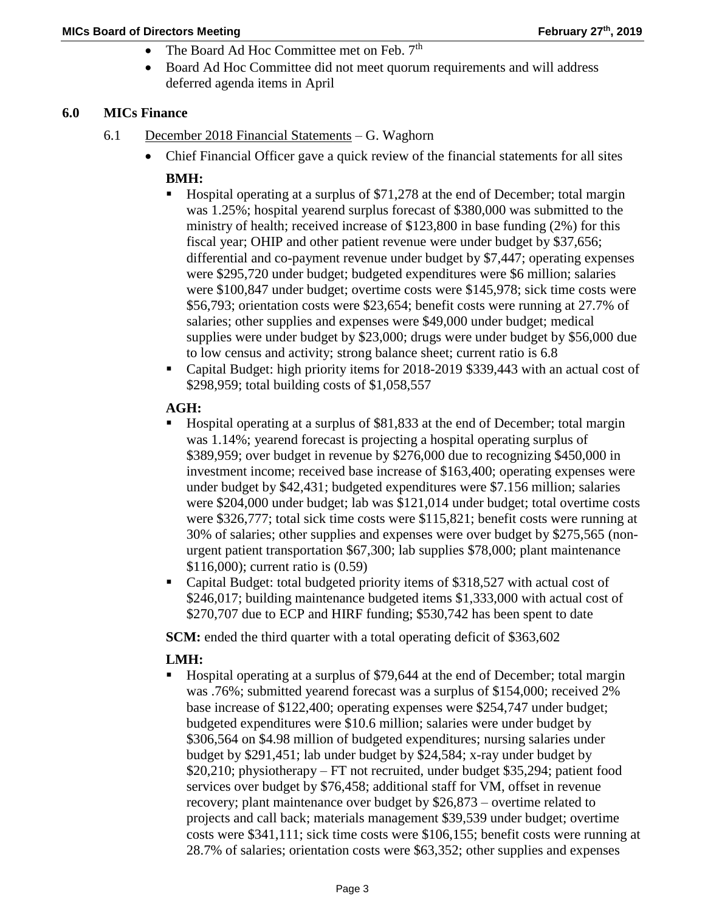- The Board Ad Hoc Committee met on Feb. 7<sup>th</sup>
- Board Ad Hoc Committee did not meet quorum requirements and will address deferred agenda items in April

## **6.0 MICs Finance**

- 6.1 December 2018 Financial Statements G. Waghorn
	- Chief Financial Officer gave a quick review of the financial statements for all sites

### **BMH:**

- Hospital operating at a surplus of \$71,278 at the end of December; total margin was 1.25%; hospital yearend surplus forecast of \$380,000 was submitted to the ministry of health; received increase of \$123,800 in base funding (2%) for this fiscal year; OHIP and other patient revenue were under budget by \$37,656; differential and co-payment revenue under budget by \$7,447; operating expenses were \$295,720 under budget; budgeted expenditures were \$6 million; salaries were \$100,847 under budget; overtime costs were \$145,978; sick time costs were \$56,793; orientation costs were \$23,654; benefit costs were running at 27.7% of salaries; other supplies and expenses were \$49,000 under budget; medical supplies were under budget by \$23,000; drugs were under budget by \$56,000 due to low census and activity; strong balance sheet; current ratio is 6.8
- Capital Budget: high priority items for 2018-2019 \$339,443 with an actual cost of \$298,959; total building costs of \$1,058,557

## **AGH:**

- Hospital operating at a surplus of \$81,833 at the end of December; total margin was 1.14%; yearend forecast is projecting a hospital operating surplus of \$389,959; over budget in revenue by \$276,000 due to recognizing \$450,000 in investment income; received base increase of \$163,400; operating expenses were under budget by \$42,431; budgeted expenditures were \$7.156 million; salaries were \$204,000 under budget; lab was \$121,014 under budget; total overtime costs were \$326,777; total sick time costs were \$115,821; benefit costs were running at 30% of salaries; other supplies and expenses were over budget by \$275,565 (nonurgent patient transportation \$67,300; lab supplies \$78,000; plant maintenance \$116,000); current ratio is (0.59)
- Capital Budget: total budgeted priority items of \$318,527 with actual cost of \$246,017; building maintenance budgeted items \$1,333,000 with actual cost of \$270,707 due to ECP and HIRF funding; \$530,742 has been spent to date

**SCM:** ended the third quarter with a total operating deficit of \$363,602

# **LMH:**

 Hospital operating at a surplus of \$79,644 at the end of December; total margin was .76%; submitted yearend forecast was a surplus of \$154,000; received 2% base increase of \$122,400; operating expenses were \$254,747 under budget; budgeted expenditures were \$10.6 million; salaries were under budget by \$306,564 on \$4.98 million of budgeted expenditures; nursing salaries under budget by \$291,451; lab under budget by \$24,584; x-ray under budget by \$20,210; physiotherapy – FT not recruited, under budget \$35,294; patient food services over budget by \$76,458; additional staff for VM, offset in revenue recovery; plant maintenance over budget by \$26,873 – overtime related to projects and call back; materials management \$39,539 under budget; overtime costs were \$341,111; sick time costs were \$106,155; benefit costs were running at 28.7% of salaries; orientation costs were \$63,352; other supplies and expenses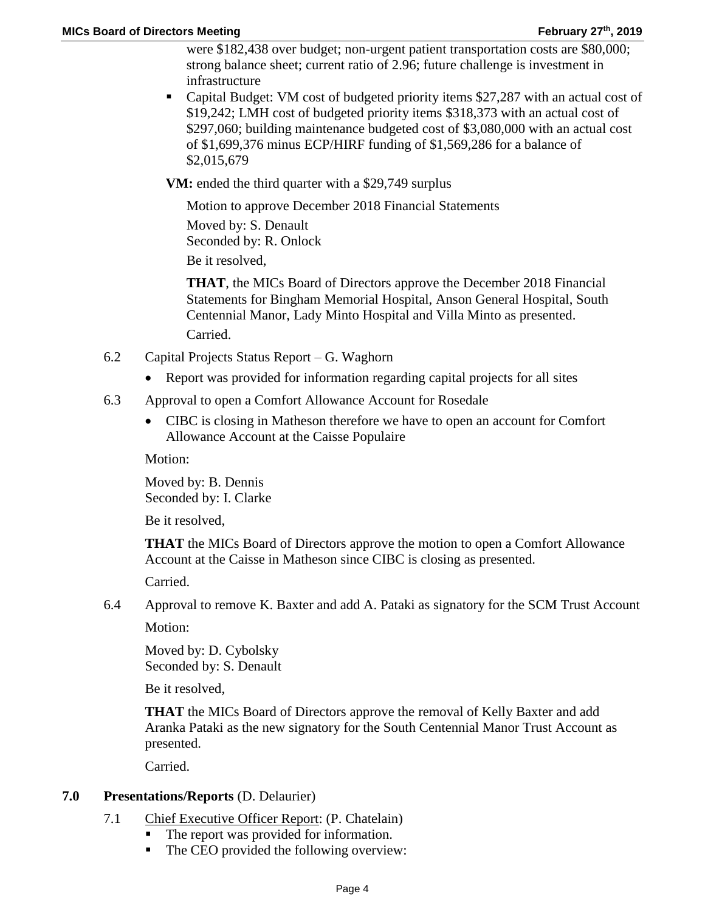were \$182,438 over budget; non-urgent patient transportation costs are \$80,000; strong balance sheet; current ratio of 2.96; future challenge is investment in infrastructure

 Capital Budget: VM cost of budgeted priority items \$27,287 with an actual cost of \$19,242; LMH cost of budgeted priority items \$318,373 with an actual cost of \$297,060; building maintenance budgeted cost of \$3,080,000 with an actual cost of \$1,699,376 minus ECP/HIRF funding of \$1,569,286 for a balance of \$2,015,679

**VM:** ended the third quarter with a \$29,749 surplus

Motion to approve December 2018 Financial Statements

Moved by: S. Denault Seconded by: R. Onlock

Be it resolved,

**THAT**, the MICs Board of Directors approve the December 2018 Financial Statements for Bingham Memorial Hospital, Anson General Hospital, South Centennial Manor, Lady Minto Hospital and Villa Minto as presented.

Carried.

- 6.2 Capital Projects Status Report G. Waghorn
	- Report was provided for information regarding capital projects for all sites
- 6.3 Approval to open a Comfort Allowance Account for Rosedale
	- CIBC is closing in Matheson therefore we have to open an account for Comfort Allowance Account at the Caisse Populaire

Motion:

Moved by: B. Dennis Seconded by: I. Clarke

Be it resolved,

**THAT** the MICs Board of Directors approve the motion to open a Comfort Allowance Account at the Caisse in Matheson since CIBC is closing as presented.

Carried.

6.4 Approval to remove K. Baxter and add A. Pataki as signatory for the SCM Trust Account

Motion:

Moved by: D. Cybolsky Seconded by: S. Denault

Be it resolved,

**THAT** the MICs Board of Directors approve the removal of Kelly Baxter and add Aranka Pataki as the new signatory for the South Centennial Manor Trust Account as presented.

Carried.

#### **7.0 Presentations/Reports** (D. Delaurier)

- 7.1 Chief Executive Officer Report: (P. Chatelain)
	- The report was provided for information.
	- The CEO provided the following overview: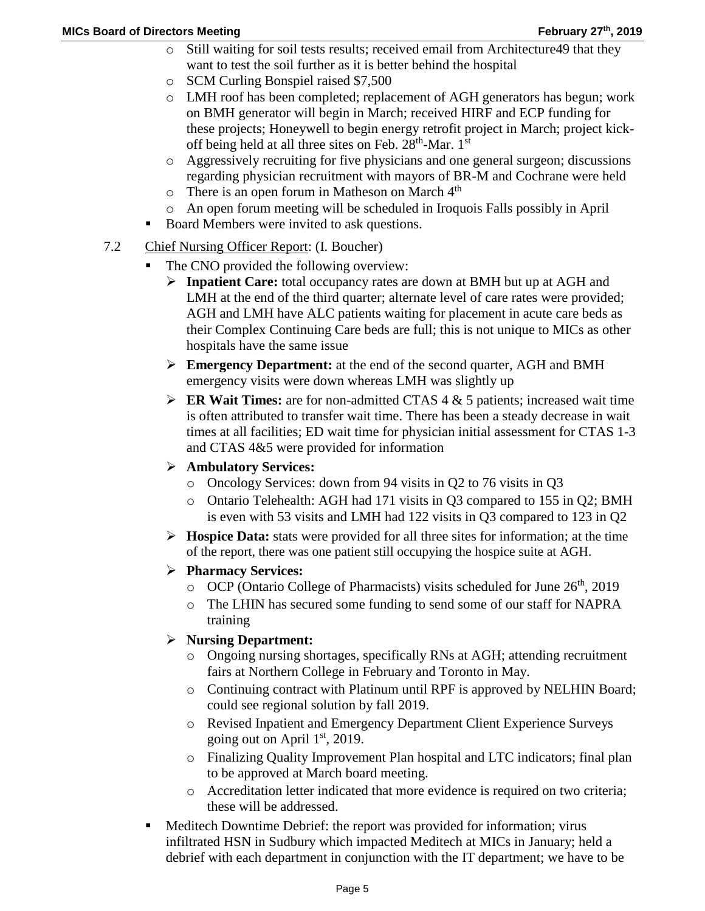- o Still waiting for soil tests results; received email from Architecture49 that they want to test the soil further as it is better behind the hospital
- o SCM Curling Bonspiel raised \$7,500
- o LMH roof has been completed; replacement of AGH generators has begun; work on BMH generator will begin in March; received HIRF and ECP funding for these projects; Honeywell to begin energy retrofit project in March; project kickoff being held at all three sites on Feb.  $28<sup>th</sup>$ -Mar.  $1<sup>st</sup>$
- o Aggressively recruiting for five physicians and one general surgeon; discussions regarding physician recruitment with mayors of BR-M and Cochrane were held
- $\circ$  There is an open forum in Matheson on March  $4<sup>th</sup>$
- o An open forum meeting will be scheduled in Iroquois Falls possibly in April
- Board Members were invited to ask questions.
- 7.2 Chief Nursing Officer Report: (I. Boucher)
	- The CNO provided the following overview:
		- **Inpatient Care:** total occupancy rates are down at BMH but up at AGH and LMH at the end of the third quarter; alternate level of care rates were provided; AGH and LMH have ALC patients waiting for placement in acute care beds as their Complex Continuing Care beds are full; this is not unique to MICs as other hospitals have the same issue
		- **Emergency Department:** at the end of the second quarter, AGH and BMH emergency visits were down whereas LMH was slightly up
		- **ER Wait Times:** are for non-admitted CTAS  $4 \& 5$  patients; increased wait time is often attributed to transfer wait time. There has been a steady decrease in wait times at all facilities; ED wait time for physician initial assessment for CTAS 1-3 and CTAS 4&5 were provided for information
		- **Ambulatory Services:**
			- o Oncology Services: down from 94 visits in Q2 to 76 visits in Q3
			- o Ontario Telehealth: AGH had 171 visits in Q3 compared to 155 in Q2; BMH is even with 53 visits and LMH had 122 visits in Q3 compared to 123 in Q2
		- **Hospice Data:** stats were provided for all three sites for information; at the time of the report, there was one patient still occupying the hospice suite at AGH.
		- **Pharmacy Services:**
			- $\degree$  OCP (Ontario College of Pharmacists) visits scheduled for June 26<sup>th</sup>, 2019
			- o The LHIN has secured some funding to send some of our staff for NAPRA training

# **Nursing Department:**

- o Ongoing nursing shortages, specifically RNs at AGH; attending recruitment fairs at Northern College in February and Toronto in May.
- o Continuing contract with Platinum until RPF is approved by NELHIN Board; could see regional solution by fall 2019.
- o Revised Inpatient and Emergency Department Client Experience Surveys going out on April  $1<sup>st</sup>$ , 2019.
- o Finalizing Quality Improvement Plan hospital and LTC indicators; final plan to be approved at March board meeting.
- o Accreditation letter indicated that more evidence is required on two criteria; these will be addressed.
- Meditech Downtime Debrief: the report was provided for information; virus infiltrated HSN in Sudbury which impacted Meditech at MICs in January; held a debrief with each department in conjunction with the IT department; we have to be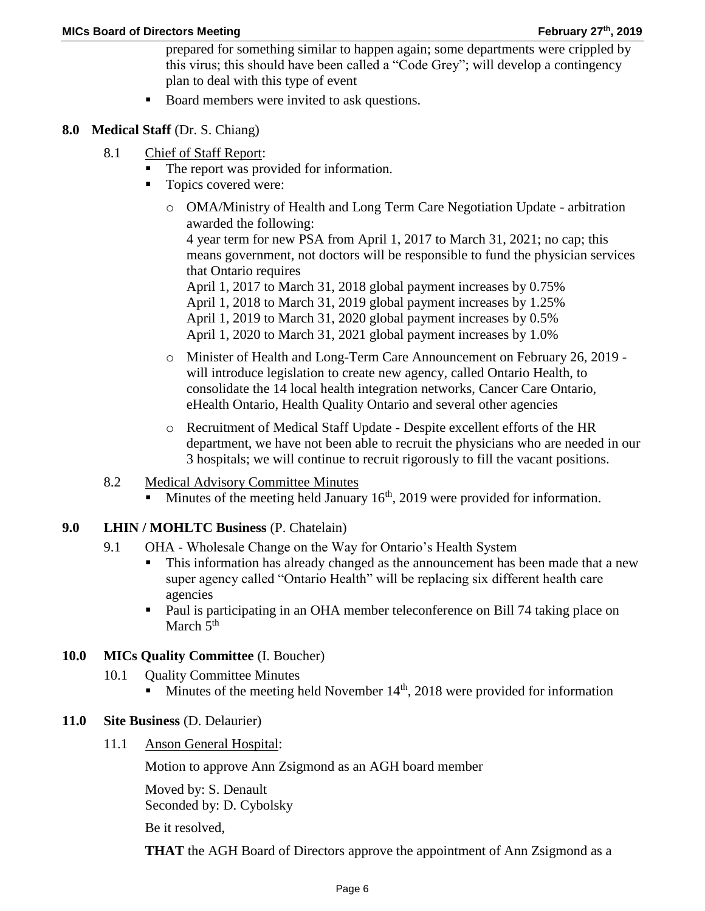prepared for something similar to happen again; some departments were crippled by this virus; this should have been called a "Code Grey"; will develop a contingency plan to deal with this type of event

- Board members were invited to ask questions.
- **8.0 Medical Staff** (Dr. S. Chiang)
	- 8.1 Chief of Staff Report:
		- The report was provided for information.
		- Topics covered were:
			- o OMA/Ministry of Health and Long Term Care Negotiation Update arbitration awarded the following: 4 year term for new PSA from April 1, 2017 to March 31, 2021; no cap; this means government, not doctors will be responsible to fund the physician services that Ontario requires

April 1, 2017 to March 31, 2018 global payment increases by 0.75% April 1, 2018 to March 31, 2019 global payment increases by 1.25% April 1, 2019 to March 31, 2020 global payment increases by 0.5% April 1, 2020 to March 31, 2021 global payment increases by 1.0%

- o Minister of Health and Long-Term Care Announcement on February 26, 2019 will introduce legislation to create new agency, called Ontario Health, to consolidate the 14 local health integration networks, Cancer Care Ontario, eHealth Ontario, Health Quality Ontario and several other agencies
- o Recruitment of Medical Staff Update Despite excellent efforts of the HR department, we have not been able to recruit the physicians who are needed in our 3 hospitals; we will continue to recruit rigorously to fill the vacant positions.
- 8.2 Medical Advisory Committee Minutes
	- Minutes of the meeting held January  $16<sup>th</sup>$ , 2019 were provided for information.
- **9.0 LHIN / MOHLTC Business** (P. Chatelain)
	- 9.1 OHA Wholesale Change on the Way for Ontario's Health System
		- This information has already changed as the announcement has been made that a new super agency called "Ontario Health" will be replacing six different health care agencies
		- Paul is participating in an OHA member teleconference on Bill 74 taking place on March  $5<sup>th</sup>$
- **10.0 MICs Quality Committee** (I. Boucher)
	- 10.1 Quality Committee Minutes
		- Minutes of the meeting held November  $14<sup>th</sup>$ , 2018 were provided for information
- **11.0 Site Business** (D. Delaurier)
	- 11.1 Anson General Hospital:

Motion to approve Ann Zsigmond as an AGH board member

Moved by: S. Denault Seconded by: D. Cybolsky

Be it resolved,

**THAT** the AGH Board of Directors approve the appointment of Ann Zsigmond as a